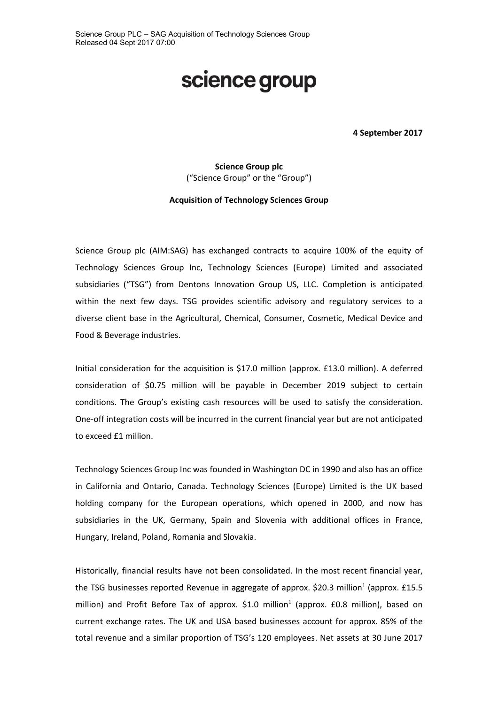# science group

**4 September 2017**

**Science Group plc** ("Science Group" or the "Group")

#### **Acquisition of Technology Sciences Group**

Science Group plc (AIM:SAG) has exchanged contracts to acquire 100% of the equity of Technology Sciences Group Inc, Technology Sciences (Europe) Limited and associated subsidiaries ("TSG") from Dentons Innovation Group US, LLC. Completion is anticipated within the next few days. TSG provides scientific advisory and regulatory services to a diverse client base in the Agricultural, Chemical, Consumer, Cosmetic, Medical Device and Food & Beverage industries.

Initial consideration for the acquisition is \$17.0 million (approx. £13.0 million). A deferred consideration of \$0.75 million will be payable in December 2019 subject to certain conditions. The Group's existing cash resources will be used to satisfy the consideration. One-off integration costs will be incurred in the current financial year but are not anticipated to exceed £1 million.

Technology Sciences Group Inc was founded in Washington DC in 1990 and also has an office in California and Ontario, Canada. Technology Sciences (Europe) Limited is the UK based holding company for the European operations, which opened in 2000, and now has subsidiaries in the UK, Germany, Spain and Slovenia with additional offices in France, Hungary, Ireland, Poland, Romania and Slovakia.

Historically, financial results have not been consolidated. In the most recent financial year, the TSG businesses reported Revenue in aggregate of approx. \$20.3 million<sup>1</sup> (approx. £15.5 million) and Profit Before Tax of approx.  $$1.0$  million<sup>1</sup> (approx.  $£0.8$  million), based on current exchange rates. The UK and USA based businesses account for approx. 85% of the total revenue and a similar proportion of TSG's 120 employees. Net assets at 30 June 2017